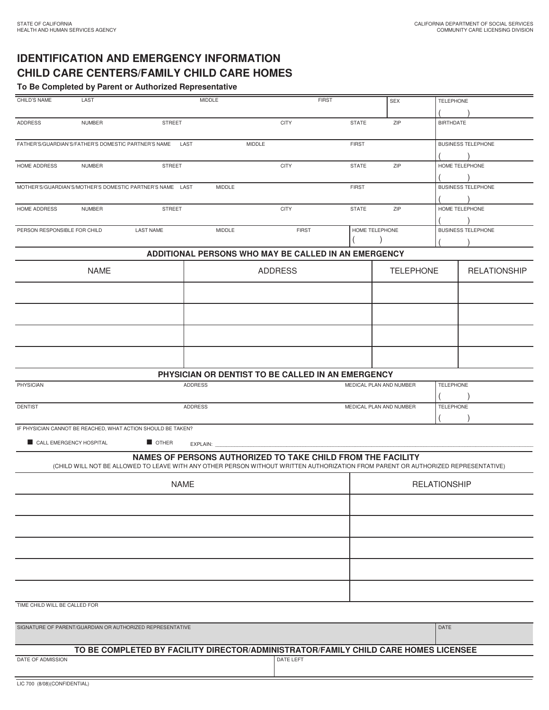## **IDENTIFICATION AND EMERGENCY INFORMATION CHILD CARE CENTERS/FAMILY CHILD CARE HOMES**

**To Be Completed by Parent or Authorized Representative**

| CHILD'S NAME                                              | LAST          |                                                              | <b>MIDDLE</b>                                                                                                                     |               | <b>FIRST</b>        |                         | SEX                                         | <b>TELEPHONE</b>          |                           |  |
|-----------------------------------------------------------|---------------|--------------------------------------------------------------|-----------------------------------------------------------------------------------------------------------------------------------|---------------|---------------------|-------------------------|---------------------------------------------|---------------------------|---------------------------|--|
| <b>ADDRESS</b>                                            | <b>NUMBER</b> | <b>STREET</b>                                                |                                                                                                                                   | <b>CITY</b>   |                     | <b>STATE</b>            | ZIP                                         | <b>BIRTHDATE</b>          |                           |  |
| FATHER'S/GUARDIAN'S/FATHER'S DOMESTIC PARTNER'S NAME      |               |                                                              | LAST                                                                                                                              | <b>MIDDLE</b> |                     | <b>FIRST</b>            |                                             |                           | <b>BUSINESS TELEPHONE</b> |  |
| <b>STREET</b><br>HOME ADDRESS<br><b>NUMBER</b>            |               | <b>CITY</b>                                                  |                                                                                                                                   |               | ZIP<br><b>STATE</b> |                         | HOME TELEPHONE                              |                           |                           |  |
| MOTHER'S/GUARDIAN'S/MOTHER'S DOMESTIC PARTNER'S NAME LAST |               |                                                              | <b>MIDDLE</b>                                                                                                                     |               |                     | <b>FIRST</b>            |                                             | <b>BUSINESS TELEPHONE</b> |                           |  |
| HOME ADDRESS                                              | <b>NUMBER</b> | <b>STREET</b>                                                |                                                                                                                                   | <b>CITY</b>   |                     | <b>STATE</b>            | ZIP                                         |                           | HOME TELEPHONE            |  |
| PERSON RESPONSIBLE FOR CHILD                              |               | <b>LAST NAME</b>                                             | MIDDLE                                                                                                                            |               | <b>FIRST</b>        | HOME TELEPHONE          |                                             |                           | <b>BUSINESS TELEPHONE</b> |  |
|                                                           |               |                                                              | ADDITIONAL PERSONS WHO MAY BE CALLED IN AN EMERGENCY                                                                              |               |                     |                         |                                             |                           |                           |  |
| <b>NAME</b>                                               |               |                                                              | <b>ADDRESS</b>                                                                                                                    |               |                     |                         | <b>TELEPHONE</b>                            |                           | <b>RELATIONSHIP</b>       |  |
|                                                           |               |                                                              |                                                                                                                                   |               |                     |                         |                                             |                           |                           |  |
|                                                           |               |                                                              |                                                                                                                                   |               |                     |                         |                                             |                           |                           |  |
|                                                           |               |                                                              |                                                                                                                                   |               |                     |                         |                                             |                           |                           |  |
|                                                           |               |                                                              |                                                                                                                                   |               |                     |                         |                                             |                           |                           |  |
|                                                           |               |                                                              | PHYSICIAN OR DENTIST TO BE CALLED IN AN EMERGENCY                                                                                 |               |                     |                         |                                             |                           |                           |  |
| <b>PHYSICIAN</b>                                          |               |                                                              | <b>ADDRESS</b>                                                                                                                    |               |                     | MEDICAL PLAN AND NUMBER |                                             | <b>TELEPHONE</b>          |                           |  |
| <b>DENTIST</b>                                            |               |                                                              | <b>ADDRESS</b>                                                                                                                    |               |                     |                         | MEDICAL PLAN AND NUMBER<br><b>TELEPHONE</b> |                           |                           |  |
|                                                           |               | IF PHYSICIAN CANNOT BE REACHED, WHAT ACTION SHOULD BE TAKEN? |                                                                                                                                   |               |                     |                         |                                             |                           |                           |  |
| CALL EMERGENCY HOSPITAL                                   |               | OTHER                                                        | EXPLAIN:<br>NAMES OF PERSONS AUTHORIZED TO TAKE CHILD FROM THE FACILITY                                                           |               |                     |                         |                                             |                           |                           |  |
|                                                           |               |                                                              | (CHILD WILL NOT BE ALLOWED TO LEAVE WITH ANY OTHER PERSON WITHOUT WRITTEN AUTHORIZATION FROM PARENT OR AUTHORIZED REPRESENTATIVE) |               |                     |                         |                                             |                           |                           |  |
| <b>NAME</b>                                               |               |                                                              |                                                                                                                                   |               |                     | <b>RELATIONSHIP</b>     |                                             |                           |                           |  |
|                                                           |               |                                                              |                                                                                                                                   |               |                     |                         |                                             |                           |                           |  |
|                                                           |               |                                                              |                                                                                                                                   |               |                     |                         |                                             |                           |                           |  |
|                                                           |               |                                                              |                                                                                                                                   |               |                     |                         |                                             |                           |                           |  |
|                                                           |               |                                                              |                                                                                                                                   |               |                     |                         |                                             |                           |                           |  |
|                                                           |               |                                                              |                                                                                                                                   |               |                     |                         |                                             |                           |                           |  |
| TIME CHILD WILL BE CALLED FOR                             |               |                                                              |                                                                                                                                   |               |                     |                         |                                             |                           |                           |  |
| SIGNATURE OF PARENT/GUARDIAN OR AUTHORIZED REPRESENTATIVE |               |                                                              |                                                                                                                                   |               |                     |                         | DATE                                        |                           |                           |  |
|                                                           |               |                                                              | TO BE COMPLETED BY FACILITY DIRECTOR/ADMINISTRATOR/FAMILY CHILD CARE HOMES LICENSEE                                               |               |                     |                         |                                             |                           |                           |  |
| DATE OF ADMISSION                                         |               |                                                              |                                                                                                                                   | DATE LEFT     |                     |                         |                                             |                           |                           |  |
| LIC 700 (8/08)(CONFIDENTIAL)                              |               |                                                              |                                                                                                                                   |               |                     |                         |                                             |                           |                           |  |